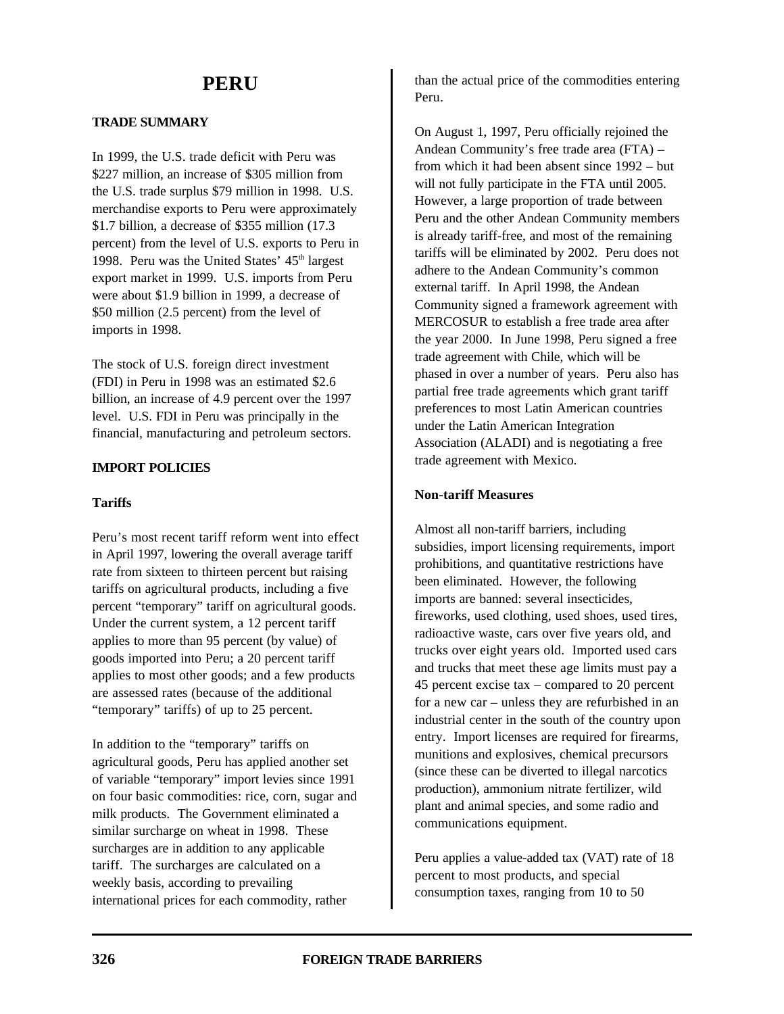# **PERU**

# **TRADE SUMMARY**

In 1999, the U.S. trade deficit with Peru was \$227 million, an increase of \$305 million from the U.S. trade surplus \$79 million in 1998. U.S. merchandise exports to Peru were approximately \$1.7 billion, a decrease of \$355 million (17.3 percent) from the level of U.S. exports to Peru in 1998. Peru was the United States'  $45<sup>th</sup>$  largest export market in 1999. U.S. imports from Peru were about \$1.9 billion in 1999, a decrease of \$50 million (2.5 percent) from the level of imports in 1998.

The stock of U.S. foreign direct investment (FDI) in Peru in 1998 was an estimated \$2.6 billion, an increase of 4.9 percent over the 1997 level. U.S. FDI in Peru was principally in the financial, manufacturing and petroleum sectors.

# **IMPORT POLICIES**

# **Tariffs**

Peru's most recent tariff reform went into effect in April 1997, lowering the overall average tariff rate from sixteen to thirteen percent but raising tariffs on agricultural products, including a five percent "temporary" tariff on agricultural goods. Under the current system, a 12 percent tariff applies to more than 95 percent (by value) of goods imported into Peru; a 20 percent tariff applies to most other goods; and a few products are assessed rates (because of the additional "temporary" tariffs) of up to 25 percent.

In addition to the "temporary" tariffs on agricultural goods, Peru has applied another set of variable "temporary" import levies since 1991 on four basic commodities: rice, corn, sugar and milk products. The Government eliminated a similar surcharge on wheat in 1998. These surcharges are in addition to any applicable tariff. The surcharges are calculated on a weekly basis, according to prevailing international prices for each commodity, rather

than the actual price of the commodities entering Peru.

On August 1, 1997, Peru officially rejoined the Andean Community's free trade area (FTA) – from which it had been absent since 1992 – but will not fully participate in the FTA until 2005. However, a large proportion of trade between Peru and the other Andean Community members is already tariff-free, and most of the remaining tariffs will be eliminated by 2002. Peru does not adhere to the Andean Community's common external tariff. In April 1998, the Andean Community signed a framework agreement with MERCOSUR to establish a free trade area after the year 2000. In June 1998, Peru signed a free trade agreement with Chile, which will be phased in over a number of years. Peru also has partial free trade agreements which grant tariff preferences to most Latin American countries under the Latin American Integration Association (ALADI) and is negotiating a free trade agreement with Mexico.

### **Non-tariff Measures**

Almost all non-tariff barriers, including subsidies, import licensing requirements, import prohibitions, and quantitative restrictions have been eliminated. However, the following imports are banned: several insecticides, fireworks, used clothing, used shoes, used tires, radioactive waste, cars over five years old, and trucks over eight years old. Imported used cars and trucks that meet these age limits must pay a 45 percent excise tax – compared to 20 percent for a new car – unless they are refurbished in an industrial center in the south of the country upon entry. Import licenses are required for firearms, munitions and explosives, chemical precursors (since these can be diverted to illegal narcotics production), ammonium nitrate fertilizer, wild plant and animal species, and some radio and communications equipment.

Peru applies a value-added tax (VAT) rate of 18 percent to most products, and special consumption taxes, ranging from 10 to 50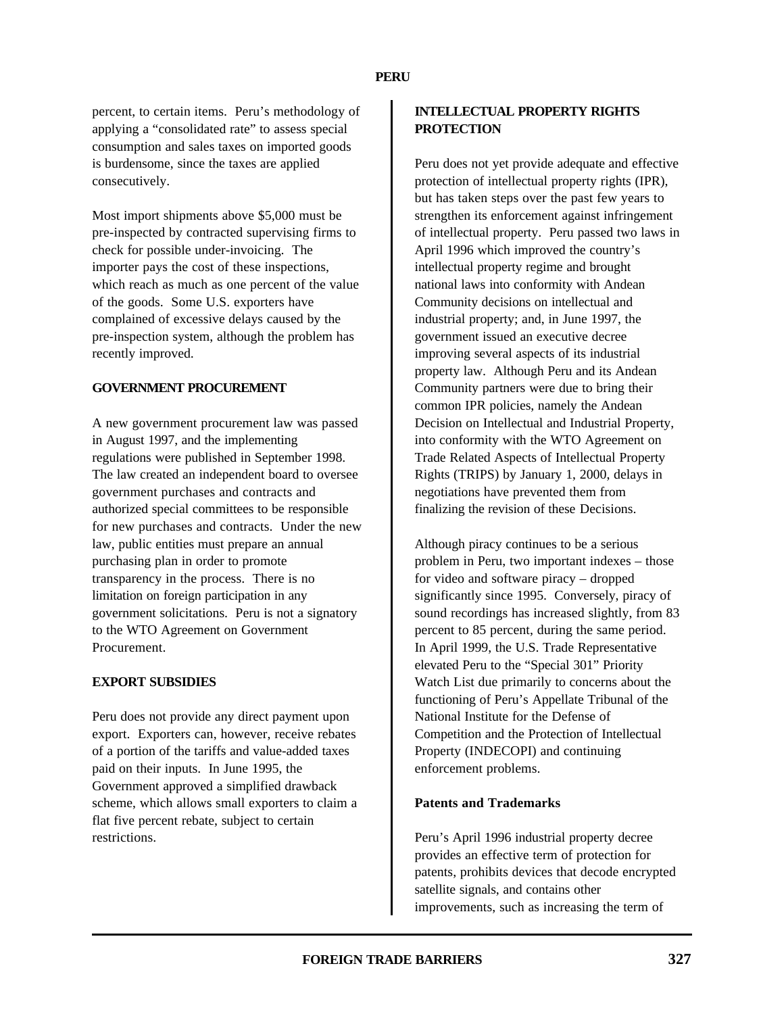percent, to certain items. Peru's methodology of applying a "consolidated rate" to assess special consumption and sales taxes on imported goods is burdensome, since the taxes are applied consecutively.

Most import shipments above \$5,000 must be pre-inspected by contracted supervising firms to check for possible under-invoicing. The importer pays the cost of these inspections, which reach as much as one percent of the value of the goods. Some U.S. exporters have complained of excessive delays caused by the pre-inspection system, although the problem has recently improved.

#### **GOVERNMENT PROCUREMENT**

A new government procurement law was passed in August 1997, and the implementing regulations were published in September 1998. The law created an independent board to oversee government purchases and contracts and authorized special committees to be responsible for new purchases and contracts. Under the new law, public entities must prepare an annual purchasing plan in order to promote transparency in the process. There is no limitation on foreign participation in any government solicitations. Peru is not a signatory to the WTO Agreement on Government Procurement.

## **EXPORT SUBSIDIES**

Peru does not provide any direct payment upon export. Exporters can, however, receive rebates of a portion of the tariffs and value-added taxes paid on their inputs. In June 1995, the Government approved a simplified drawback scheme, which allows small exporters to claim a flat five percent rebate, subject to certain restrictions.

# **INTELLECTUAL PROPERTY RIGHTS PROTECTION**

Peru does not yet provide adequate and effective protection of intellectual property rights (IPR), but has taken steps over the past few years to strengthen its enforcement against infringement of intellectual property. Peru passed two laws in April 1996 which improved the country's intellectual property regime and brought national laws into conformity with Andean Community decisions on intellectual and industrial property; and, in June 1997, the government issued an executive decree improving several aspects of its industrial property law. Although Peru and its Andean Community partners were due to bring their common IPR policies, namely the Andean Decision on Intellectual and Industrial Property, into conformity with the WTO Agreement on Trade Related Aspects of Intellectual Property Rights (TRIPS) by January 1, 2000, delays in negotiations have prevented them from finalizing the revision of these Decisions.

Although piracy continues to be a serious problem in Peru, two important indexes – those for video and software piracy – dropped significantly since 1995. Conversely, piracy of sound recordings has increased slightly, from 83 percent to 85 percent, during the same period. In April 1999, the U.S. Trade Representative elevated Peru to the "Special 301" Priority Watch List due primarily to concerns about the functioning of Peru's Appellate Tribunal of the National Institute for the Defense of Competition and the Protection of Intellectual Property (INDECOPI) and continuing enforcement problems.

## **Patents and Trademarks**

Peru's April 1996 industrial property decree provides an effective term of protection for patents, prohibits devices that decode encrypted satellite signals, and contains other improvements, such as increasing the term of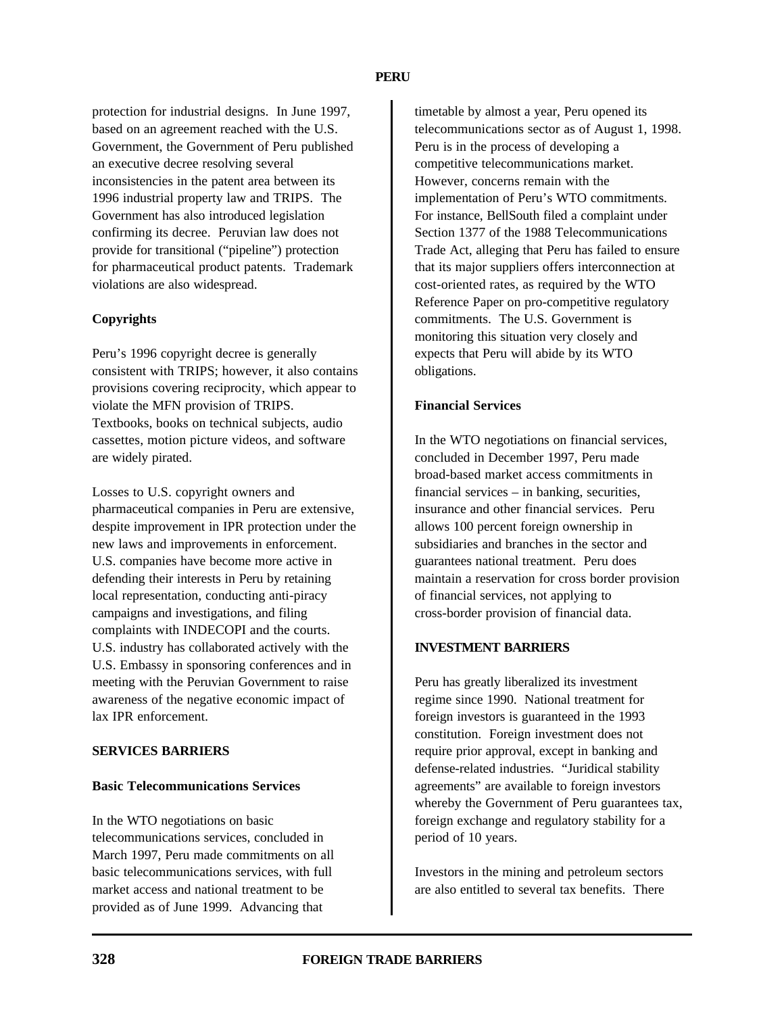protection for industrial designs. In June 1997, based on an agreement reached with the U.S. Government, the Government of Peru published an executive decree resolving several inconsistencies in the patent area between its 1996 industrial property law and TRIPS. The Government has also introduced legislation confirming its decree. Peruvian law does not provide for transitional ("pipeline") protection for pharmaceutical product patents. Trademark violations are also widespread.

## **Copyrights**

Peru's 1996 copyright decree is generally consistent with TRIPS; however, it also contains provisions covering reciprocity, which appear to violate the MFN provision of TRIPS. Textbooks, books on technical subjects, audio cassettes, motion picture videos, and software are widely pirated.

Losses to U.S. copyright owners and pharmaceutical companies in Peru are extensive, despite improvement in IPR protection under the new laws and improvements in enforcement. U.S. companies have become more active in defending their interests in Peru by retaining local representation, conducting anti-piracy campaigns and investigations, and filing complaints with INDECOPI and the courts. U.S. industry has collaborated actively with the U.S. Embassy in sponsoring conferences and in meeting with the Peruvian Government to raise awareness of the negative economic impact of lax IPR enforcement.

#### **SERVICES BARRIERS**

#### **Basic Telecommunications Services**

In the WTO negotiations on basic telecommunications services, concluded in March 1997, Peru made commitments on all basic telecommunications services, with full market access and national treatment to be provided as of June 1999. Advancing that

timetable by almost a year, Peru opened its telecommunications sector as of August 1, 1998. Peru is in the process of developing a competitive telecommunications market. However, concerns remain with the implementation of Peru's WTO commitments. For instance, BellSouth filed a complaint under Section 1377 of the 1988 Telecommunications Trade Act, alleging that Peru has failed to ensure that its major suppliers offers interconnection at cost-oriented rates, as required by the WTO Reference Paper on pro-competitive regulatory commitments. The U.S. Government is monitoring this situation very closely and expects that Peru will abide by its WTO obligations.

# **Financial Services**

In the WTO negotiations on financial services, concluded in December 1997, Peru made broad-based market access commitments in financial services – in banking, securities, insurance and other financial services. Peru allows 100 percent foreign ownership in subsidiaries and branches in the sector and guarantees national treatment. Peru does maintain a reservation for cross border provision of financial services, not applying to cross-border provision of financial data.

## **INVESTMENT BARRIERS**

Peru has greatly liberalized its investment regime since 1990. National treatment for foreign investors is guaranteed in the 1993 constitution. Foreign investment does not require prior approval, except in banking and defense-related industries. "Juridical stability agreements" are available to foreign investors whereby the Government of Peru guarantees tax, foreign exchange and regulatory stability for a period of 10 years.

Investors in the mining and petroleum sectors are also entitled to several tax benefits. There